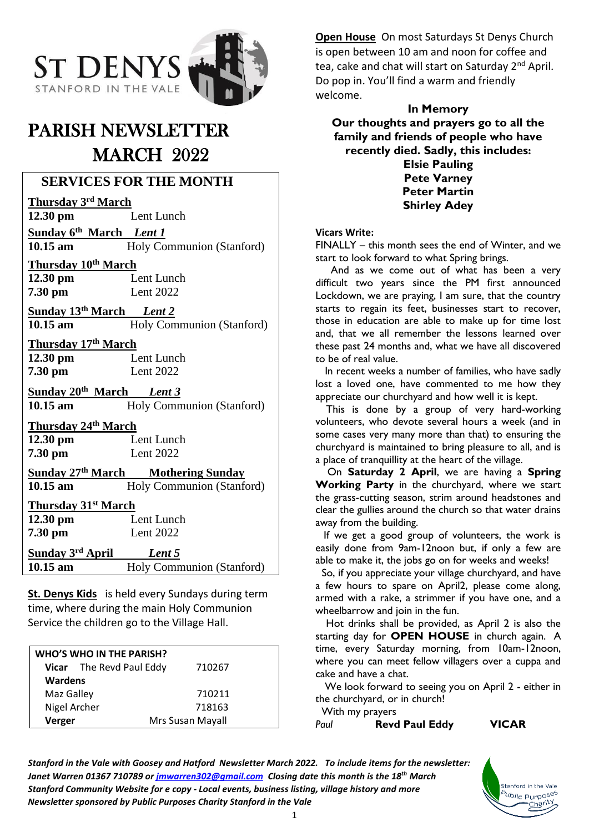

# PARISH NEWSLETTER MARCH 2022

# **SERVICES FOR THE MONTH**

**Thursday 3rd March**

Lent Lunch

**Sunday 6th March** *Lent 1*

**10.15 am** Holy Communion (Stanford)

**Thursday 10th March 12.30 pm** Lent Lunch

**7.30 pm** Lent 2022

**Sunday 13th March** *Lent 2* 10.15 am Holy Communion (Stanford)

**Thursday 17th March Lent Lunch 7.30 pm** Lent 2022

**Sunday 20th March** *Lent 3* 10.15 am Holy Communion (Stanford)

**Thursday 24th March**

**12.30 pm** Lent Lunch **7.30 pm** Lent 2022

**Sunday 27 th March Mothering Sunday**

10.15 am **Holy Communion** (Stanford)

# **Thursday 31st March**

**12.30 pm** Lent Lunch **7.30 pm** Lent 2022

**Sunday 3 rd April** *Lent 5* 10.15 am Holy Communion (Stanford)

**St. Denys Kids** is held every Sundays during term time, where during the main Holy Communion Service the children go to the Village Hall.

| WHO'S WHO IN THE PARISH? |                          |                  |  |
|--------------------------|--------------------------|------------------|--|
|                          | Vicar The Revd Paul Eddy | 710267           |  |
| <b>Wardens</b>           |                          |                  |  |
| Maz Galley               |                          | 710211           |  |
| Nigel Archer             |                          | 718163           |  |
| Verger                   |                          | Mrs Susan Mayall |  |

**Open House** On most Saturdays St Denys Church is open between 10 am and noon for coffee and tea, cake and chat will start on Saturday 2<sup>nd</sup> April. Do pop in. You'll find a warm and friendly welcome.

**In Memory Our thoughts and prayers go to all the family and friends of people who have recently died. Sadly, this includes: Elsie Pauling**

**Pete Varney Peter Martin Shirley Adey**

#### **Vicars Write:**

FINALLY – this month sees the end of Winter, and we start to look forward to what Spring brings.

 And as we come out of what has been a very difficult two years since the PM first announced Lockdown, we are praying, I am sure, that the country starts to regain its feet, businesses start to recover, those in education are able to make up for time lost and, that we all remember the lessons learned over these past 24 months and, what we have all discovered to be of real value.

 In recent weeks a number of families, who have sadly lost a loved one, have commented to me how they appreciate our churchyard and how well it is kept.

This is done by a group of very hard-working volunteers, who devote several hours a week (and in some cases very many more than that) to ensuring the churchyard is maintained to bring pleasure to all, and is a place of tranquillity at the heart of the village.

 On **Saturday 2 April**, we are having a **Spring Working Party** in the churchyard, where we start the grass-cutting season, strim around headstones and clear the gullies around the church so that water drains away from the building.

If we get a good group of volunteers, the work is easily done from 9am-12noon but, if only a few are able to make it, the jobs go on for weeks and weeks!

So, if you appreciate your village churchyard, and have a few hours to spare on April2, please come along, armed with a rake, a strimmer if you have one, and a wheelbarrow and join in the fun.

 Hot drinks shall be provided, as April 2 is also the starting day for **OPEN HOUSE** in church again. A time, every Saturday morning, from 10am-12noon, where you can meet fellow villagers over a cuppa and cake and have a chat.

 We look forward to seeing you on April 2 - either in the churchyard, or in church!

With my prayers *Paul* **Revd Paul Eddy VICAR**

Stanford in the Vale <sup>b</sup>ublic Purpo<sup>ses</sup> Charity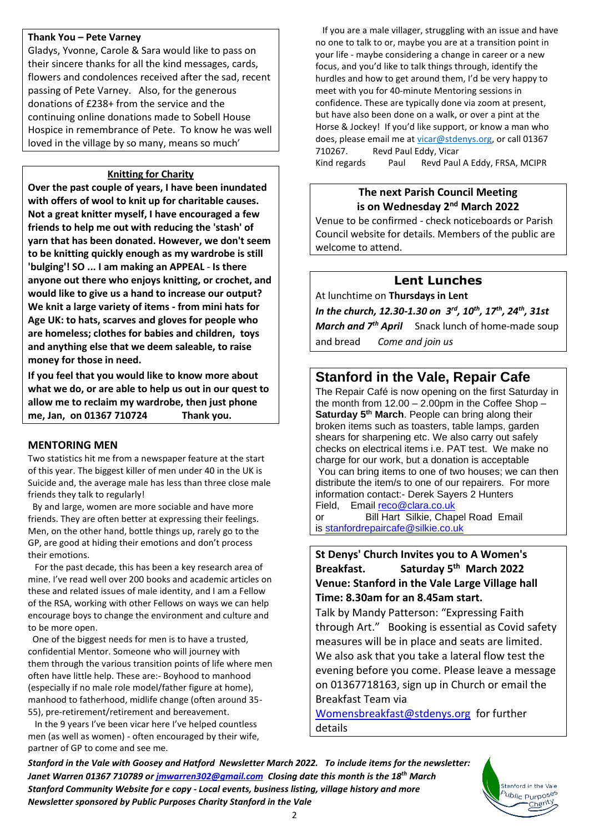#### **Thank You – Pete Varney**

Gladys, Yvonne, Carole & Sara would like to pass on their sincere thanks for all the kind messages, cards, flowers and condolences received after the sad, recent passing of Pete Varney. Also, for the generous donations of £238+ from the service and the continuing online donations made to Sobell House Hospice in remembrance of Pete. To know he was well loved in the village by so many, means so much'

#### **Knitting for Charity**

**Over the past couple of years, I have been inundated with offers of wool to knit up for charitable causes. Not a great knitter myself, I have encouraged a few friends to help me out with reducing the 'stash' of yarn that has been donated. However, we don't seem to be knitting quickly enough as my wardrobe is still 'bulging'! SO ... I am making an APPEAL** - **Is there anyone out there who enjoys knitting, or crochet, and would like to give us a hand to increase our output? We knit a large variety of items - from mini hats for Age UK: to hats, scarves and gloves for people who are homeless; clothes for babies and children, toys and anything else that we deem saleable, to raise money for those in need.** 

**If you feel that you would like to know more about what we do, or are able to help us out in our quest to allow me to reclaim my wardrobe, then just phone me, Jan, on 01367 710724 Thank you.**

#### **MENTORING MEN**

Two statistics hit me from a newspaper feature at the start of this year. The biggest killer of men under 40 in the UK is Suicide and, the average male has less than three close male friends they talk to regularly!

 By and large, women are more sociable and have more friends. They are often better at expressing their feelings. Men, on the other hand, bottle things up, rarely go to the GP, are good at hiding their emotions and don't process their emotions.

 For the past decade, this has been a key research area of mine. I've read well over 200 books and academic articles on these and related issues of male identity, and I am a Fellow of the RSA, working with other Fellows on ways we can help encourage boys to change the environment and culture and to be more open.

 One of the biggest needs for men is to have a trusted, confidential Mentor. Someone who will journey with them through the various transition points of life where men often have little help. These are:- Boyhood to manhood (especially if no male role model/father figure at home), manhood to fatherhood, midlife change (often around 35- 55), pre-retirement/retirement and bereavement.

 In the 9 years I've been vicar here I've helped countless men (as well as women) - often encouraged by their wife, partner of GP to come and see me.

 If you are a male villager, struggling with an issue and have no one to talk to or, maybe you are at a transition point in your life - maybe considering a change in career or a new focus, and you'd like to talk things through, identify the hurdles and how to get around them, I'd be very happy to meet with you for 40-minute Mentoring sessions in confidence. These are typically done via zoom at present, but have also been done on a walk, or over a pint at the Horse & Jockey! If you'd like support, or know a man who does, please email me at [vicar@stdenys.org,](mailto:vicar@stdenys.org) or call 01367 710267. Revd Paul Eddy, Vicar

Kind regards Paul Revd Paul A Eddy, FRSA, MCIPR

#### **The next Parish Council Meeting is on Wednesday 2<sup>nd</sup> March 2022**

Venue to be confirmed - check noticeboards or Parish Council website for details. Members of the public are welcome to attend.

### **Lent Lunches**

At lunchtime on **Thursdays in Lent**

*In the church, 12.30-1.30 on 3 rd, 10th, 17th , 24th, 31st March and 7th April* Snack lunch of home-made soup and bread *Come and join us*

## **Stanford in the Vale, Repair Cafe**

The Repair Café is now opening on the first Saturday in the month from 12.00 – 2.00pm in the Coffee Shop – **Saturday 5 th March**. People can bring along their broken items such as toasters, table lamps, garden shears for sharpening etc. We also carry out safely checks on electrical items i.e. PAT test. We make no charge for our work, but a donation is acceptable You can bring items to one of two houses; we can then distribute the item/s to one of our repairers. For more information contact:- Derek Sayers 2 Hunters Field, Email [reco@clara.co.uk](mailto:reco@clara.co.uk)

or Bill Hart Silkie, Chapel Road Email is [stanfordrepaircafe@silkie.co.uk](mailto:stanfordrepaircafe@silkie.co.uk)

**St Denys' Church Invites you to A Women's Breakfast. Saturday 5 th March 2022 Venue: Stanford in the Vale Large Village hall Time: 8.30am for an 8.45am start.**

Talk by Mandy Patterson: "Expressing Faith through Art." Booking is essential as Covid safety measures will be in place and seats are limited. We also ask that you take a lateral flow test the evening before you come. Please leave a message on 01367718163, sign up in Church or email the Breakfast Team via

[Womensbreakfast@stdenys.org](mailto:Womensbreakfast@stdenys.org) for further details

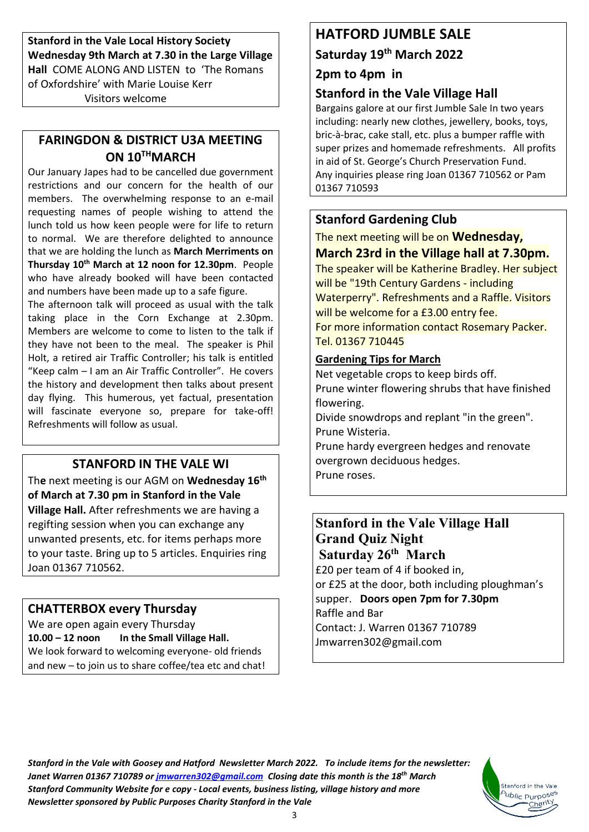**Stanford in the Vale Local History Society Wednesday 9th March at 7.30 in the Large Village Hall** COME ALONG AND LISTEN to 'The Romans of Oxfordshire' with Marie Louise Kerr Visitors welcome

# **FARINGDON & DISTRICT U3A MEETING ON 10 THMARCH**

Our January Japes had to be cancelled due government restrictions and our concern for the health of our members. The overwhelming response to an e-mail requesting names of people wishing to attend the lunch told us how keen people were for life to return to normal. We are therefore delighted to announce that we are holding the lunch as **March Merriments on Thursday 10th March at 12 noon for 12.30pm**. People who have already booked will have been contacted and numbers have been made up to a safe figure.

The afternoon talk will proceed as usual with the talk taking place in the Corn Exchange at 2.30pm. Members are welcome to come to listen to the talk if they have not been to the meal. The speaker is Phil Holt, a retired air Traffic Controller; his talk is entitled "Keep calm – I am an Air Traffic Controller". He covers the history and development then talks about present day flying. This humerous, yet factual, presentation will fascinate everyone so, prepare for take-off! Refreshments will follow as usual.

# **STANFORD IN THE VALE WI**

Th**e** next meeting is our AGM on **Wednesday 16th of March at 7.30 pm in Stanford in the Vale Village Hall.** After refreshments we are having a regifting session when you can exchange any unwanted presents, etc. for items perhaps more to your taste. Bring up to 5 articles. Enquiries ring Joan 01367 710562.

# **CHATTERBOX every Thursday**

We are open again every Thursday **10.00 – 12 noon In the Small Village Hall.** We look forward to welcoming everyone- old friends and new – to join us to share coffee/tea etc and chat!

# **HATFORD JUMBLE SALE**

**Saturday 19th March 2022**

## **2pm to 4pm in**

# **Stanford in the Vale Village Hall**

Bargains galore at our first Jumble Sale In two years including: nearly new clothes, jewellery, books, toys, bric-à-brac, cake stall, etc. plus a bumper raffle with super prizes and homemade refreshments. All profits in aid of St. George's Church Preservation Fund. Any inquiries please ring Joan 01367 710562 or Pam 01367 710593

# **Stanford Gardening Club**

The next meeting will be on **Wednesday,** 

# **March 23rd in the Village hall at 7.30pm.**

The speaker will be Katherine Bradley. Her subject will be "19th Century Gardens - including Waterperry". Refreshments and a Raffle. Visitors will be welcome for a £3.00 entry fee. For more information contact Rosemary Packer. Tel. 01367 710445

### **Gardening Tips for March**

Net vegetable crops to keep birds off. Prune winter flowering shrubs that have finished flowering. Divide snowdrops and replant "in the green". Prune Wisteria. Prune hardy evergreen hedges and renovate overgrown deciduous hedges.

Prune roses.

# **Stanford in the Vale Village Hall Grand Quiz Night Saturday 26th March** £20 per team of 4 if booked in, or £25 at the door, both including ploughman's supper. **Doors open 7pm for 7.30pm** Raffle and Bar Contact: J. Warren 01367 710789 Jmwarren302@gmail.com

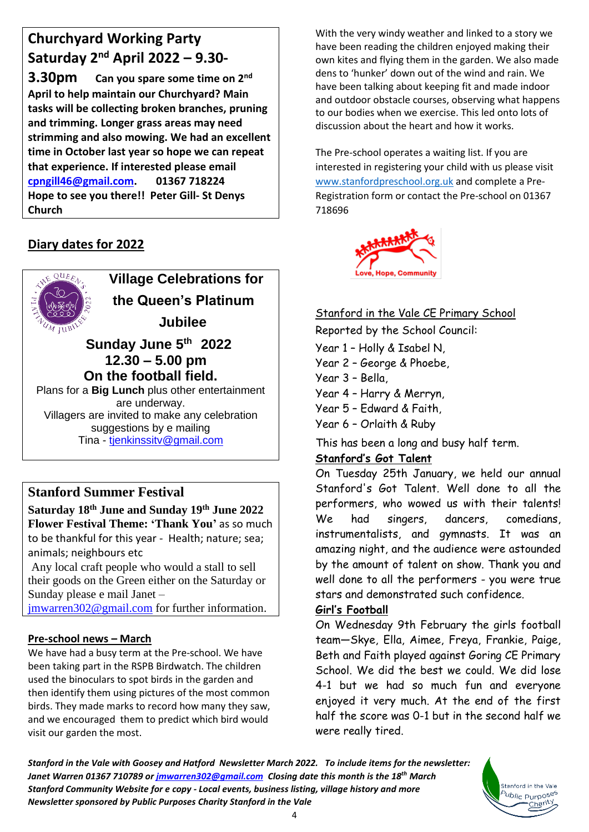# **Churchyard Working Party Saturday 2nd April 2022 – 9.30-**

**3.30pm Can you spare some time on 2nd April to help maintain our Churchyard? Main tasks will be collecting broken branches, pruning and trimming. Longer grass areas may need strimming and also mowing. We had an excellent time in October last year so hope we can repeat that experience. If interested please email [cpngill46@gmail.com.](mailto:cpngill46@gmail.com) 01367 718224 Hope to see you there!! Peter Gill- St Denys Church**

# **Diary dates for 2022**



 **Village Celebrations for the Queen's Platinum Jubilee** 

# **Sunday June 5 th 2022 12.30 – 5.00 pm On the football field.**

Plans for a **Big Lunch** plus other entertainment are underway. Villagers are invited to make any celebration suggestions by e mailing Tina - [tjenkinssitv@gmail.com](mailto:tjenkinssitv@gmail.com)

# **Stanford Summer Festival**

**Saturday 18 th June and Sunday 19 th June 2022 Flower Festival Theme: 'Thank You'** as so much to be thankful for this year - Health; nature; sea; animals; neighbours etc

Any local craft people who would a stall to sell their goods on the Green either on the Saturday or Sunday please e mail Janet –

[jmwarren302@gmail.com](mailto:jmwarren302@gmail.com) for further information.

# **Pre-school news – March**

We have had a busy term at the Pre-school. We have been taking part in the RSPB Birdwatch. The children used the binoculars to spot birds in the garden and then identify them using pictures of the most common birds. They made marks to record how many they saw, and we encouraged them to predict which bird would visit our garden the most.

With the very windy weather and linked to a story we have been reading the children enjoyed making their own kites and flying them in the garden. We also made dens to 'hunker' down out of the wind and rain. We have been talking about keeping fit and made indoor and outdoor obstacle courses, observing what happens to our bodies when we exercise. This led onto lots of discussion about the heart and how it works.

The Pre-school operates a waiting list. If you are interested in registering your child with us please visit [www.stanfordpreschool.org.uk](http://www.stanfordpreschool.org.uk/) and complete a Pre-Registration form or contact the Pre-school on 01367 718696



# Stanford in the Vale CE Primary School

Reported by the School Council:

Year 1 – Holly & Isabel N,

Year 2 – George & Phoebe,

Year 3 – Bella,

Year 4 – Harry & Merryn,

- Year 5 Edward & Faith,
- Year 6 Orlaith & Ruby

This has been a long and busy half term.

# **Stanford's Got Talent**

On Tuesday 25th January, we held our annual Stanford's Got Talent. Well done to all the performers, who wowed us with their talents! We had singers, dancers, comedians, instrumentalists, and gymnasts. It was an amazing night, and the audience were astounded by the amount of talent on show. Thank you and well done to all the performers - you were true stars and demonstrated such confidence.

# **Girl's Football**

On Wednesday 9th February the girls football team—Skye, Ella, Aimee, Freya, Frankie, Paige, Beth and Faith played against Goring CE Primary School. We did the best we could. We did lose 4-1 but we had so much fun and everyone enjoyed it very much. At the end of the first half the score was 0-1 but in the second half we were really tired.

> Stanford in the Vale <sup>5</sup>ublic Purpo<sup>ses</sup> Charity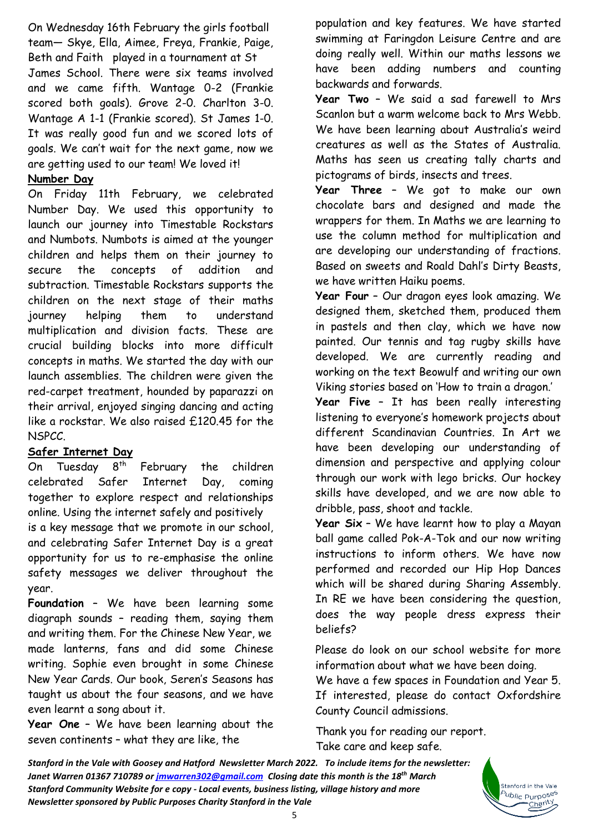On Wednesday 16th February the girls football team— Skye, Ella, Aimee, Freya, Frankie, Paige, Beth and Faith played in a tournament at St James School. There were six teams involved and we came fifth. Wantage 0-2 (Frankie scored both goals). Grove 2-0. Charlton 3-0. Wantage A 1-1 (Frankie scored). St James 1-0. It was really good fun and we scored lots of goals. We can't wait for the next game, now we are getting used to our team! We loved it!

## **Number Day**

On Friday 11th February, we celebrated Number Day. We used this opportunity to launch our journey into Timestable Rockstars and Numbots. Numbots is aimed at the younger children and helps them on their journey to secure the concepts of addition and subtraction. Timestable Rockstars supports the children on the next stage of their maths journey helping them to understand multiplication and division facts. These are crucial building blocks into more difficult concepts in maths. We started the day with our launch assemblies. The children were given the red-carpet treatment, hounded by paparazzi on their arrival, enjoyed singing dancing and acting like a rockstar. We also raised £120.45 for the NSPCC.

### **Safer Internet Day**

On Tuesday  $8<sup>th</sup>$  February the children celebrated Safer Internet Day, coming together to explore respect and relationships online. Using the internet safely and positively is a key message that we promote in our school, and celebrating Safer Internet Day is a great opportunity for us to re-emphasise the online safety messages we deliver throughout the year.

**Foundation** – We have been learning some diagraph sounds – reading them, saying them and writing them. For the Chinese New Year, we made lanterns, fans and did some Chinese writing. Sophie even brought in some Chinese New Year Cards. Our book, Seren's Seasons has taught us about the four seasons, and we have even learnt a song about it.

**Year One** – We have been learning about the seven continents – what they are like, the

population and key features. We have started swimming at Faringdon Leisure Centre and are doing really well. Within our maths lessons we have been adding numbers and counting backwards and forwards.

**Year Two** – We said a sad farewell to Mrs Scanlon but a warm welcome back to Mrs Webb. We have been learning about Australia's weird creatures as well as the States of Australia. Maths has seen us creating tally charts and pictograms of birds, insects and trees.

**Year Three** – We got to make our own chocolate bars and designed and made the wrappers for them. In Maths we are learning to use the column method for multiplication and are developing our understanding of fractions. Based on sweets and Roald Dahl's Dirty Beasts, we have written Haiku poems.

**Year Four** – Our dragon eyes look amazing. We designed them, sketched them, produced them in pastels and then clay, which we have now painted. Our tennis and tag rugby skills have developed. We are currently reading and working on the text Beowulf and writing our own Viking stories based on 'How to train a dragon.'

**Year Five** – It has been really interesting listening to everyone's homework projects about different Scandinavian Countries. In Art we have been developing our understanding of dimension and perspective and applying colour through our work with lego bricks. Our hockey skills have developed, and we are now able to dribble, pass, shoot and tackle.

**Year Six** – We have learnt how to play a Mayan ball game called Pok-A-Tok and our now writing instructions to inform others. We have now performed and recorded our Hip Hop Dances which will be shared during Sharing Assembly. In RE we have been considering the question, does the way people dress express their beliefs?

Please do look on our school website for more information about what we have been doing.

We have a few spaces in Foundation and Year 5. If interested, please do contact Oxfordshire County Council admissions.

> Stanford in the Vale Public Purpos<sup>es</sup> Charity

Thank you for reading our report. Take care and keep safe.

*Stanford in the Vale with Goosey and Hatford Newsletter March 2022. To include items for the newsletter: Janet Warren 01367 710789 or [jmwarren302@gmail.com](mailto:jmwarren302@gmail.com) Closing date this month is the 18th March Stanford Community Website for e copy - Local events, business listing, village history and more Newsletter sponsored by Public Purposes Charity Stanford in the Vale*

5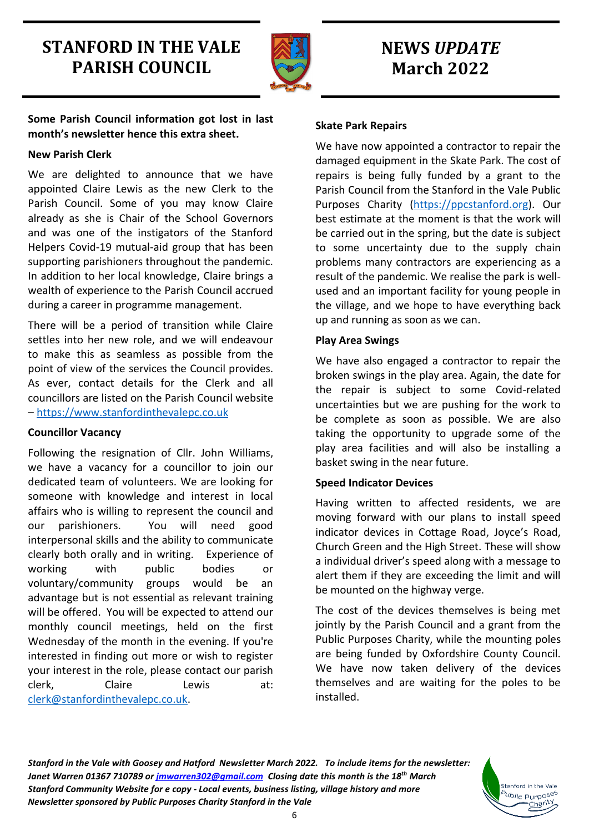# **STANFORD IN THE VALE PARISH COUNCIL**



# **NEWS** *UPDATE* **March 2022**

**Some Parish Council information got lost in last month's newsletter hence this extra sheet.**

### **New Parish Clerk**

We are delighted to announce that we have appointed Claire Lewis as the new Clerk to the Parish Council. Some of you may know Claire already as she is Chair of the School Governors and was one of the instigators of the Stanford Helpers Covid-19 mutual-aid group that has been supporting parishioners throughout the pandemic. In addition to her local knowledge, Claire brings a wealth of experience to the Parish Council accrued during a career in programme management.

There will be a period of transition while Claire settles into her new role, and we will endeavour to make this as seamless as possible from the point of view of the services the Council provides. As ever, contact details for the Clerk and all councillors are listed on the Parish Council website – [https://www.stanfordinthevalepc.co.uk](https://www.stanfordinthevalepc.co.uk/)

### **Councillor Vacancy**

Following the resignation of Cllr. John Williams, we have a vacancy for a councillor to join our dedicated team of volunteers. We are looking for someone with knowledge and interest in local affairs who is willing to represent the council and our parishioners. You will need good interpersonal skills and the ability to communicate clearly both orally and in writing. Experience of working with public bodies or voluntary/community groups would be an advantage but is not essential as relevant training will be offered. You will be expected to attend our monthly council meetings, held on the first Wednesday of the month in the evening. If you're interested in finding out more or wish to register your interest in the role, please contact our parish clerk, Claire Lewis at: [clerk@stanfordinthevalepc.co.uk.](mailto:clerk@stanfordinthevalepc.co.uk)

## **Skate Park Repairs**

We have now appointed a contractor to repair the damaged equipment in the Skate Park. The cost of repairs is being fully funded by a grant to the Parish Council from the Stanford in the Vale Public Purposes Charity [\(https://ppcstanford.org\)](https://ppcstanford.org/). Our best estimate at the moment is that the work will be carried out in the spring, but the date is subject to some uncertainty due to the supply chain problems many contractors are experiencing as a result of the pandemic. We realise the park is wellused and an important facility for young people in the village, and we hope to have everything back up and running as soon as we can.

# **Play Area Swings**

We have also engaged a contractor to repair the broken swings in the play area. Again, the date for the repair is subject to some Covid-related uncertainties but we are pushing for the work to be complete as soon as possible. We are also taking the opportunity to upgrade some of the play area facilities and will also be installing a basket swing in the near future.

# **Speed Indicator Devices**

Having written to affected residents, we are moving forward with our plans to install speed indicator devices in Cottage Road, Joyce's Road, Church Green and the High Street. These will show a individual driver's speed along with a message to alert them if they are exceeding the limit and will be mounted on the highway verge.

The cost of the devices themselves is being met jointly by the Parish Council and a grant from the Public Purposes Charity, while the mounting poles are being funded by Oxfordshire County Council. We have now taken delivery of the devices themselves and are waiting for the poles to be installed.

> Stanford in the Vale <sup>b</sup>ublic Purpo<sup>ses</sup> Charity